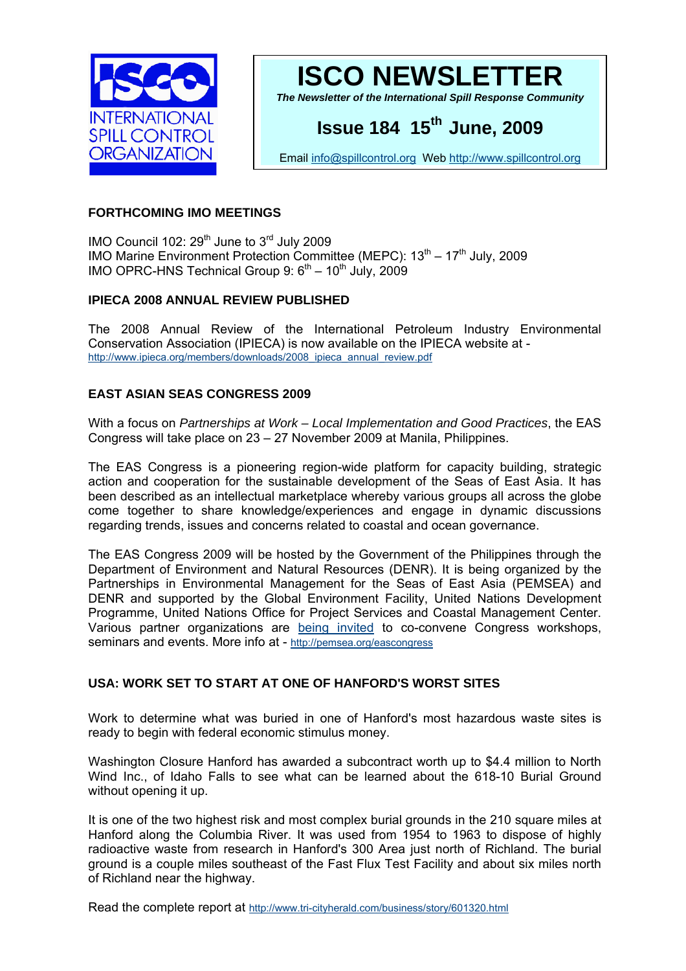



*The Newsletter of the International Spill Response Community* 

# **Issue 184 15th June, 2009**

Email [info@spillcontrol.org](mailto:info@spillcontrol.org) Web [http://www.spillcontrol.org](http://www.spillcontrol.org/) 

### **FORTHCOMING IMO MEETINGS**

IMO Council 102:  $29^{th}$  June to  $3^{rd}$  July 2009 IMO Marine Environment Protection Committee (MEPC):  $13<sup>th</sup> - 17<sup>th</sup>$  July, 2009 IMO OPRC-HNS Technical Group 9:  $6<sup>th</sup> - 10<sup>th</sup>$  July, 2009

## **IPIECA 2008 ANNUAL REVIEW PUBLISHED**

The 2008 Annual Review of the International Petroleum Industry Environmental Conservation Association (IPIECA) is now available on the IPIECA website at [http://www.ipieca.org/members/downloads/2008\\_ipieca\\_annual\\_review.pdf](http://www.ipieca.org/members/downloads/2008_ipieca_annual_review.pdf)

## **EAST ASIAN SEAS CONGRESS 2009**

With a focus on *Partnerships at Work – Local Implementation and Good Practices*, the EAS Congress will take place on 23 – 27 November 2009 at Manila, Philippines.

The EAS Congress is a pioneering region-wide platform for capacity building, strategic action and cooperation for the sustainable development of the Seas of East Asia. It has been described as an intellectual marketplace whereby various groups all across the globe come together to share knowledge/experiences and engage in dynamic discussions regarding trends, issues and concerns related to coastal and ocean governance.

The EAS Congress 2009 will be hosted by the Government of the Philippines through the Department of Environment and Natural Resources (DENR). It is being organized by the Partnerships in Environmental Management for the Seas of East Asia (PEMSEA) and DENR and supported by the Global Environment Facility, United Nations Development Programme, United Nations Office for Project Services and Coastal Management Center. Various partner organizations are [being invited](http://pemsea.org/eascongress/resolveuid/50a208c353fa58d08fe8964cd10abfd3) to co-convene Congress workshops, seminars and events. More info at -<http://pemsea.org/eascongress>

## **USA: WORK SET TO START AT ONE OF HANFORD'S WORST SITES**

Work to determine what was buried in one of Hanford's most hazardous waste sites is ready to begin with federal economic stimulus money.

Washington Closure Hanford has awarded a subcontract worth up to \$4.4 million to North Wind Inc., of Idaho Falls to see what can be learned about the 618-10 Burial Ground without opening it up.

It is one of the two highest risk and most complex burial grounds in the 210 square miles at Hanford along the Columbia River. It was used from 1954 to 1963 to dispose of highly radioactive waste from research in Hanford's 300 Area just north of Richland. The burial ground is a couple miles southeast of the Fast Flux Test Facility and about six miles north of Richland near the highway.

Read the complete report at <http://www.tri-cityherald.com/business/story/601320.html>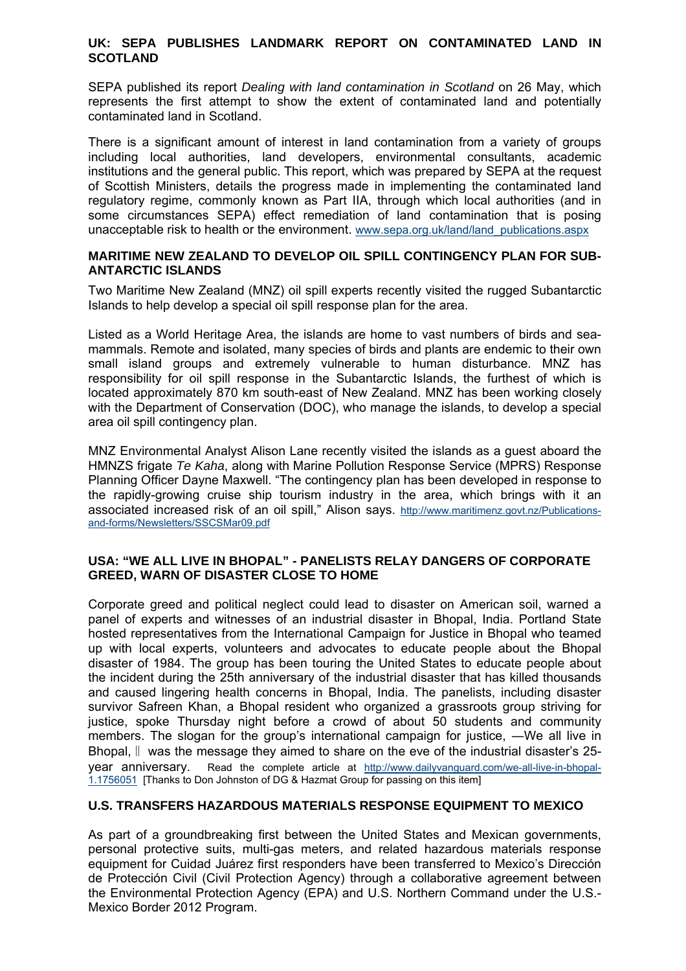#### **UK: SEPA PUBLISHES LANDMARK REPORT ON CONTAMINATED LAND IN SCOTLAND**

SEPA published its report *Dealing with land contamination in Scotland* on 26 May, which represents the first attempt to show the extent of contaminated land and potentially contaminated land in Scotland.

There is a significant amount of interest in land contamination from a variety of groups including local authorities, land developers, environmental consultants, academic institutions and the general public. This report, which was prepared by SEPA at the request of Scottish Ministers, details the progress made in implementing the contaminated land regulatory regime, commonly known as Part IIA, through which local authorities (and in some circumstances SEPA) effect remediation of land contamination that is posing unacceptable risk to health or the environment. [www.sepa.org.uk/land/land\\_publications.aspx](http://system.newzapp.co.uk/GLink.asp?LID=MjI1MjMxNiw5OTU5NzU2Ng==)

#### **MARITIME NEW ZEALAND TO DEVELOP OIL SPILL CONTINGENCY PLAN FOR SUB-ANTARCTIC ISLANDS**

Two Maritime New Zealand (MNZ) oil spill experts recently visited the rugged Subantarctic Islands to help develop a special oil spill response plan for the area.

Listed as a World Heritage Area, the islands are home to vast numbers of birds and seamammals. Remote and isolated, many species of birds and plants are endemic to their own small island groups and extremely vulnerable to human disturbance. MNZ has responsibility for oil spill response in the Subantarctic Islands, the furthest of which is located approximately 870 km south-east of New Zealand. MNZ has been working closely with the Department of Conservation (DOC), who manage the islands, to develop a special area oil spill contingency plan.

MNZ Environmental Analyst Alison Lane recently visited the islands as a guest aboard the HMNZS frigate *Te Kaha*, along with Marine Pollution Response Service (MPRS) Response Planning Officer Dayne Maxwell. "The contingency plan has been developed in response to the rapidly-growing cruise ship tourism industry in the area, which brings with it an associated increased risk of an oil spill," Alison says. [http://www.maritimenz.govt.nz/Publications](http://www.maritimenz.govt.nz/Publications-and-forms/Newsletters/SSCSMar09.pdf)[and-forms/Newsletters/SSCSMar09.pdf](http://www.maritimenz.govt.nz/Publications-and-forms/Newsletters/SSCSMar09.pdf)

#### **USA: "WE ALL LIVE IN BHOPAL" - PANELISTS RELAY DANGERS OF CORPORATE GREED, WARN OF DISASTER CLOSE TO HOME**

Corporate greed and political neglect could lead to disaster on American soil, warned a panel of experts and witnesses of an industrial disaster in Bhopal, India. Portland State hosted representatives from the International Campaign for Justice in Bhopal who teamed up with local experts, volunteers and advocates to educate people about the Bhopal disaster of 1984. The group has been touring the United States to educate people about the incident during the 25th anniversary of the industrial disaster that has killed thousands and caused lingering health concerns in Bhopal, India. The panelists, including disaster survivor Safreen Khan, a Bhopal resident who organized a grassroots group striving for justice, spoke Thursday night before a crowd of about 50 students and community members. The slogan for the group's international campaign for justice, —We all live in Bhopal,‖ was the message they aimed to share on the eve of the industrial disaster's 25 year anniversary. Read the complete article at [http://www.dailyvanguard.com/we-all-live-in-bhopal-](http://www.dailyvanguard.com/we-all-live-in-bhopal-1.1756051)[1.1756051](http://www.dailyvanguard.com/we-all-live-in-bhopal-1.1756051) [Thanks to Don Johnston of DG & Hazmat Group for passing on this item]

#### **U.S. TRANSFERS HAZARDOUS MATERIALS RESPONSE EQUIPMENT TO MEXICO**

As part of a groundbreaking first between the United States and Mexican governments, personal protective suits, multi-gas meters, and related hazardous materials response equipment for Cuidad Juárez first responders have been transferred to Mexico's Dirección de Protección Civil (Civil Protection Agency) through a collaborative agreement between the Environmental Protection Agency (EPA) and U.S. Northern Command under the U.S.- Mexico Border 2012 Program.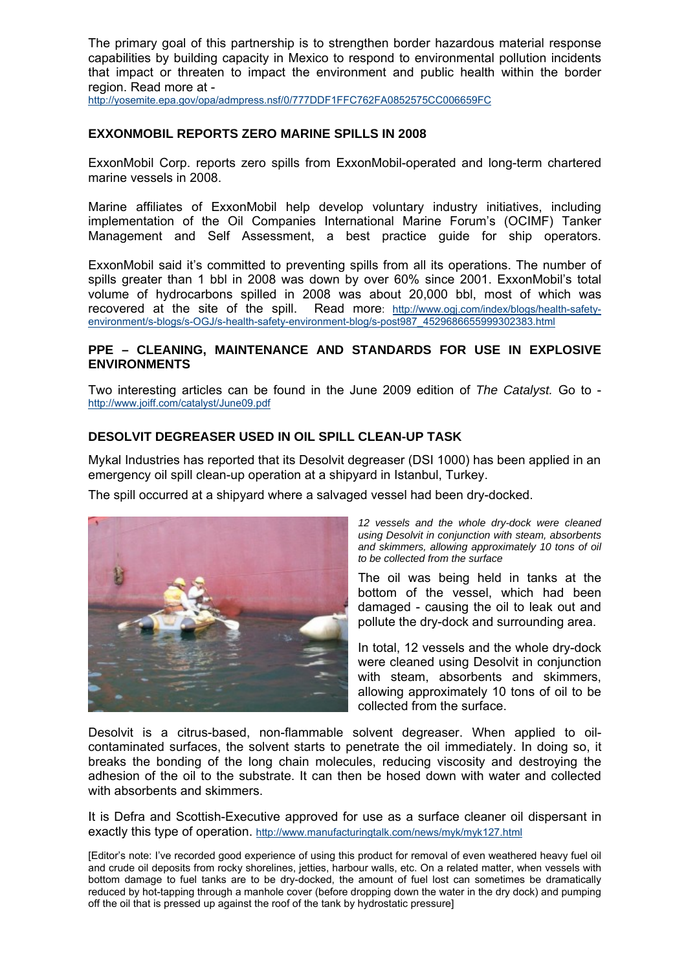The primary goal of this partnership is to strengthen border hazardous material response capabilities by building capacity in Mexico to respond to environmental pollution incidents that impact or threaten to impact the environment and public health within the border region. Read more at -

<http://yosemite.epa.gov/opa/admpress.nsf/0/777DDF1FFC762FA0852575CC006659FC>

#### **EXXONMOBIL REPORTS ZERO MARINE SPILLS IN 2008**

ExxonMobil Corp. reports zero spills from ExxonMobil-operated and long-term chartered marine vessels in 2008.

Marine affiliates of ExxonMobil help develop voluntary industry initiatives, including implementation of the Oil Companies International Marine Forum's (OCIMF) Tanker Management and Self Assessment, a best practice guide for ship operators.

ExxonMobil said it's committed to preventing spills from all its operations. The number of spills greater than 1 bbl in 2008 was down by over 60% since 2001. ExxonMobil's total volume of hydrocarbons spilled in 2008 was about 20,000 bbl, most of which was recovered at the site of the spill. Read more: [http://www.ogj.com/index/blogs/health-safety](http://www.ogj.com/index/blogs/health-safety-environment/s-blogs/s-OGJ/s-health-safety-environment-blog/s-post987_4529686655999302383.html)[environment/s-blogs/s-OGJ/s-health-safety-environment-blog/s-post987\\_4529686655999302383.html](http://www.ogj.com/index/blogs/health-safety-environment/s-blogs/s-OGJ/s-health-safety-environment-blog/s-post987_4529686655999302383.html)

#### **PPE – CLEANING, MAINTENANCE AND STANDARDS FOR USE IN EXPLOSIVE ENVIRONMENTS**

Two interesting articles can be found in the June 2009 edition of *The Catalyst.* Go to <http://www.joiff.com/catalyst/June09.pdf>

#### **DESOLVIT DEGREASER USED IN OIL SPILL CLEAN-UP TASK**

Mykal Industries has reported that its Desolvit degreaser (DSI 1000) has been applied in an emergency oil spill clean-up operation at a shipyard in Istanbul, Turkey.

The spill occurred at a shipyard where a salvaged vessel had been dry-docked.



*12 vessels and the whole dry-dock were cleaned using Desolvit in conjunction with steam, absorbents and skimmers, allowing approximately 10 tons of oil to be collected from the surface*

The oil was being held in tanks at the bottom of the vessel, which had been damaged - causing the oil to leak out and pollute the dry-dock and surrounding area.

In total, 12 vessels and the whole dry-dock were cleaned using Desolvit in conjunction with steam, absorbents and skimmers, allowing approximately 10 tons of oil to be collected from the surface.

Desolvit is a citrus-based, non-flammable solvent degreaser. When applied to oilcontaminated surfaces, the solvent starts to penetrate the oil immediately. In doing so, it breaks the bonding of the long chain molecules, reducing viscosity and destroying the adhesion of the oil to the substrate. It can then be hosed down with water and collected with absorbents and skimmers.

It is Defra and Scottish-Executive approved for use as a surface cleaner oil dispersant in exactly this type of operation.<http://www.manufacturingtalk.com/news/myk/myk127.html>

<sup>[</sup>Editor's note: I've recorded good experience of using this product for removal of even weathered heavy fuel oil and crude oil deposits from rocky shorelines, jetties, harbour walls, etc. On a related matter, when vessels with bottom damage to fuel tanks are to be dry-docked, the amount of fuel lost can sometimes be dramatically reduced by hot-tapping through a manhole cover (before dropping down the water in the dry dock) and pumping off the oil that is pressed up against the roof of the tank by hydrostatic pressure]